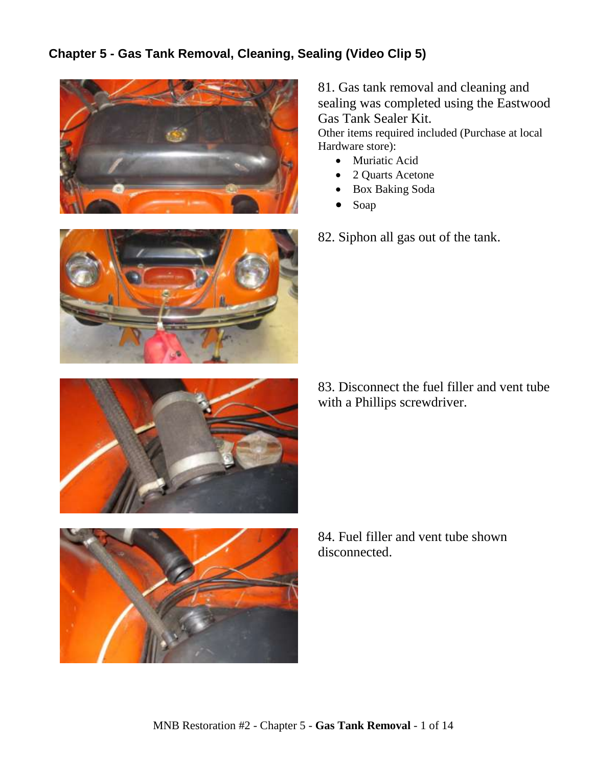## **Chapter 5 - Gas Tank Removal, Cleaning, Sealing (Video Clip 5)**



81. Gas tank removal and cleaning and sealing was completed using the Eastwood Gas Tank Sealer Kit.

Other items required included (Purchase at local Hardware store):

- Muriatic Acid
- 2 Quarts Acetone
- Box Baking Soda
- Soap
- 82. Siphon all gas out of the tank.





83. Disconnect the fuel filler and vent tube with a Phillips screwdriver.



84. Fuel filler and vent tube shown disconnected.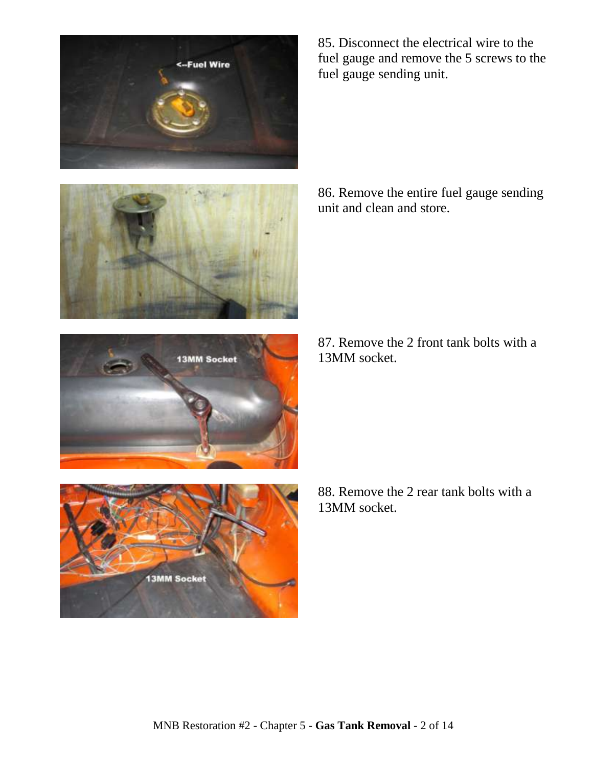







85. Disconnect the electrical wire to the fuel gauge and remove the 5 screws to the fuel gauge sending unit.

86. Remove the entire fuel gauge sending unit and clean and store.

87. Remove the 2 front tank bolts with a 13MM socket.

88. Remove the 2 rear tank bolts with a 13MM socket.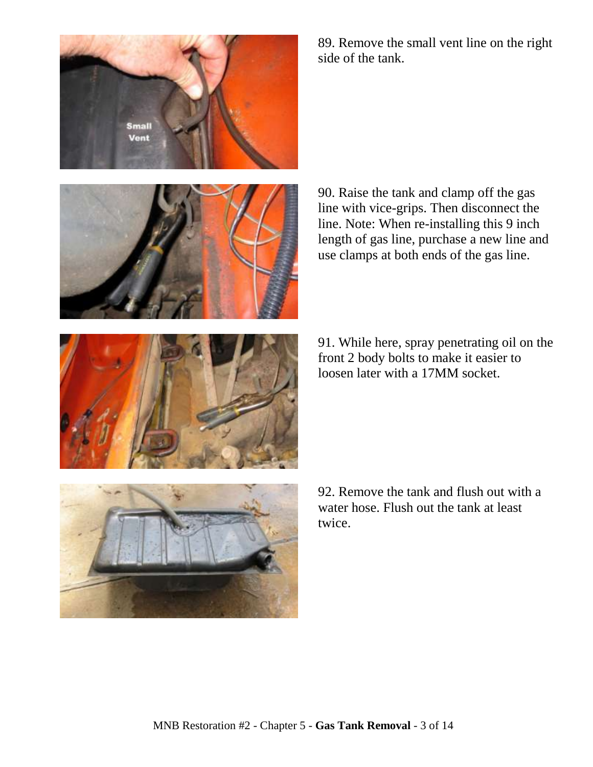



89. Remove the small vent line on the right side of the tank.

90. Raise the tank and clamp off the gas line with vice-grips. Then disconnect the line. Note: When re-installing this 9 inch length of gas line, purchase a new line and use clamps at both ends of the gas line.

91. While here, spray penetrating oil on the front 2 body bolts to make it easier to loosen later with a 17MM socket.



92. Remove the tank and flush out with a water hose. Flush out the tank at least twice.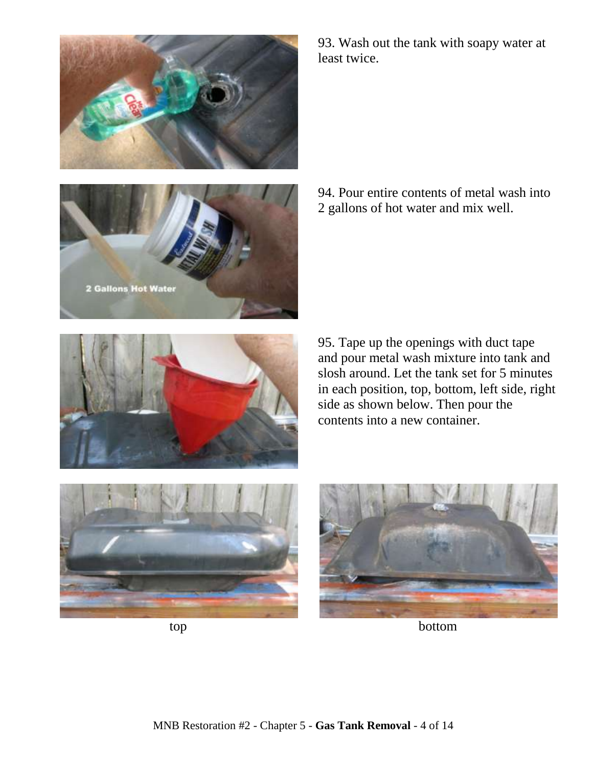



93. Wash out the tank with soapy water at least twice.

94. Pour entire contents of metal wash into 2 gallons of hot water and mix well.



95. Tape up the openings with duct tape and pour metal wash mixture into tank and slosh around. Let the tank set for 5 minutes in each position, top, bottom, left side, right side as shown below. Then pour the contents into a new container.







top bottom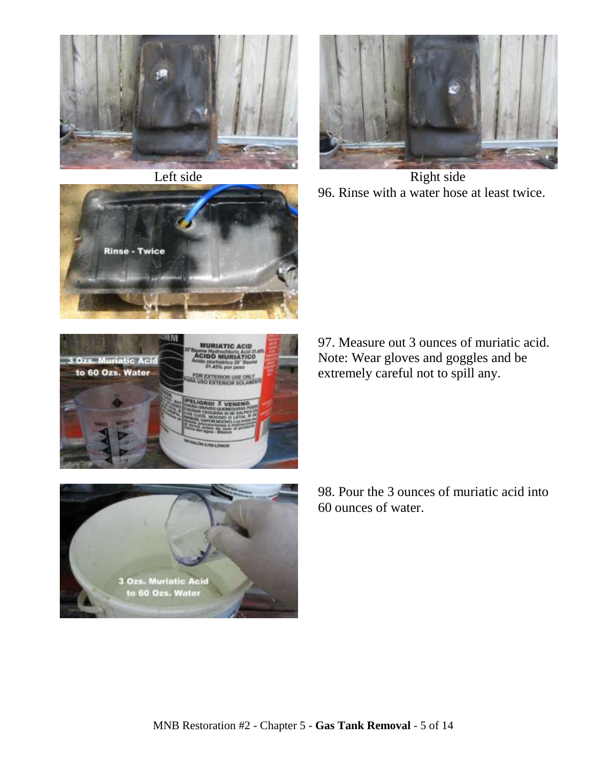







Left side Right side 96. Rinse with a water hose at least twice.



97. Measure out 3 ounces of muriatic acid. Note: Wear gloves and goggles and be extremely careful not to spill any.



98. Pour the 3 ounces of muriatic acid into 60 ounces of water.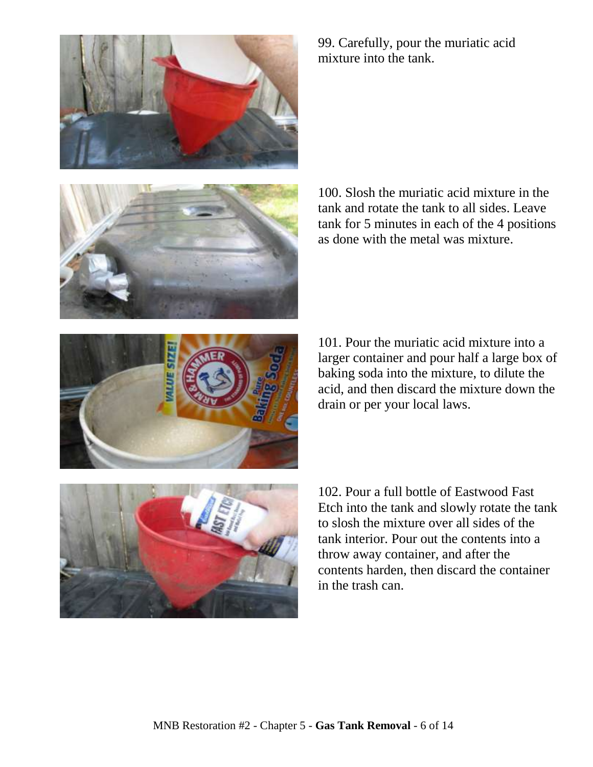



99. Carefully, pour the muriatic acid mixture into the tank.

100. Slosh the muriatic acid mixture in the tank and rotate the tank to all sides. Leave tank for 5 minutes in each of the 4 positions as done with the metal was mixture.

101. Pour the muriatic acid mixture into a larger container and pour half a large box of baking soda into the mixture, to dilute the acid, and then discard the mixture down the drain or per your local laws.



102. Pour a full bottle of Eastwood Fast Etch into the tank and slowly rotate the tank to slosh the mixture over all sides of the tank interior. Pour out the contents into a throw away container, and after the contents harden, then discard the container in the trash can.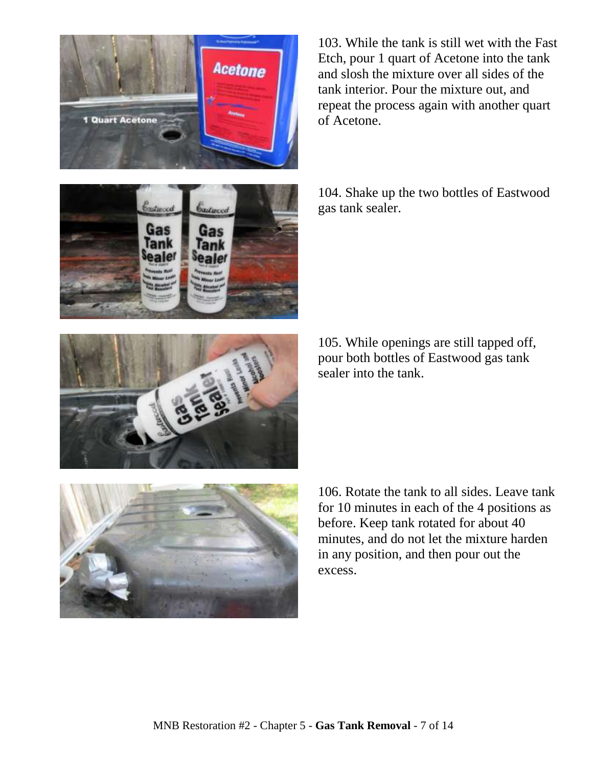MNB Restoration #2 - Chapter 5 - **Gas Tank Removal** - 7 of 14



104. Shake up the two bottles of Eastwood gas tank sealer.

103. While the tank is still wet with the Fast Etch, pour 1 quart of Acetone into the tank and slosh the mixture over all sides of the tank interior. Pour the mixture out, and

105. While openings are still tapped off, pour both bottles of Eastwood gas tank sealer into the tank.

106. Rotate the tank to all sides. Leave tank for 10 minutes in each of the 4 positions as before. Keep tank rotated for about 40 minutes, and do not let the mixture harden in any position, and then pour out the excess.





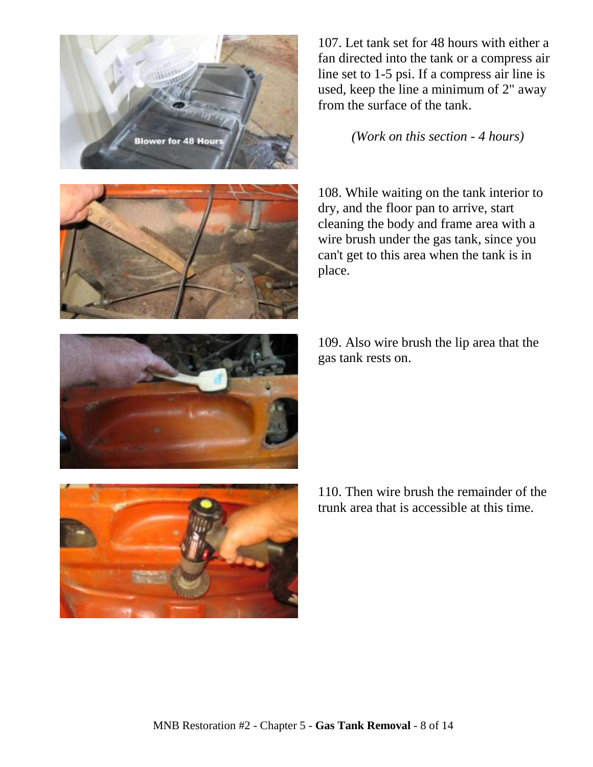



107. Let tank set for 48 hours with either a fan directed into the tank or a compress air line set to 1-5 psi. If a compress air line is used, keep the line a minimum of 2" away from the surface of the tank.

*(Work on this section - 4 hours)*

108. While waiting on the tank interior to dry, and the floor pan to arrive, start cleaning the body and frame area with a wire brush under the gas tank, since you can't get to this area when the tank is in place.

109. Also wire brush the lip area that the gas tank rests on.



110. Then wire brush the remainder of the trunk area that is accessible at this time.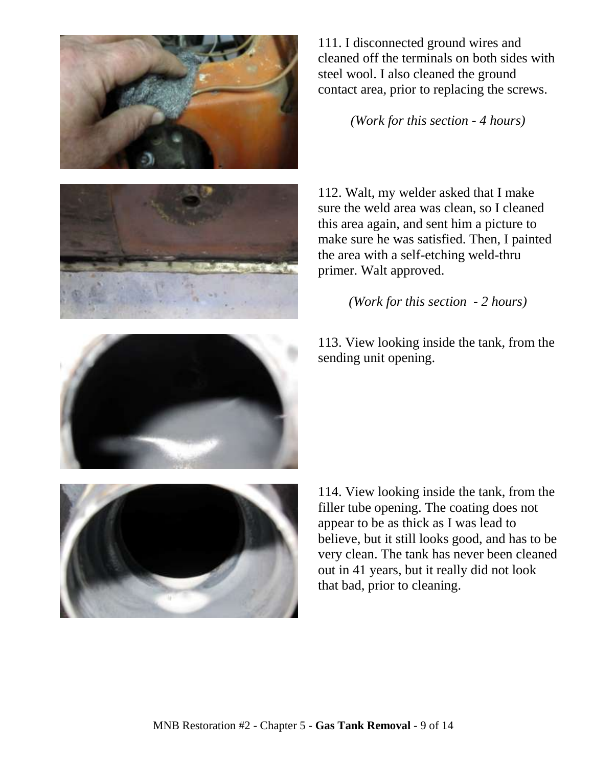



111. I disconnected ground wires and cleaned off the terminals on both sides with steel wool. I also cleaned the ground contact area, prior to replacing the screws.

*(Work for this section - 4 hours)*

112. Walt, my welder asked that I make sure the weld area was clean, so I cleaned this area again, and sent him a picture to make sure he was satisfied. Then, I painted the area with a self-etching weld-thru primer. Walt approved.

*(Work for this section - 2 hours)*

113. View looking inside the tank, from the sending unit opening.



114. View looking inside the tank, from the filler tube opening. The coating does not appear to be as thick as I was lead to believe, but it still looks good, and has to be very clean. The tank has never been cleaned out in 41 years, but it really did not look that bad, prior to cleaning.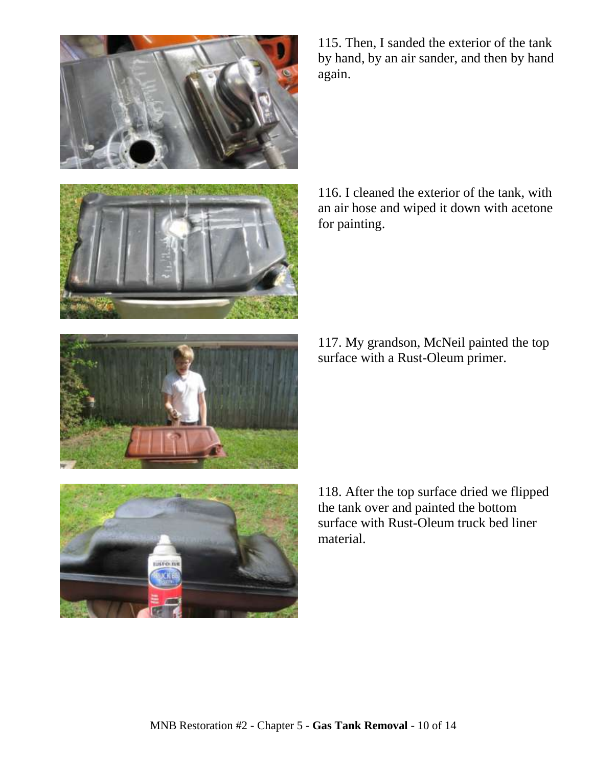



115. Then, I sanded the exterior of the tank by hand, by an air sander, and then by hand again.

116. I cleaned the exterior of the tank, with an air hose and wiped it down with acetone for painting.

117. My grandson, McNeil painted the top surface with a Rust-Oleum primer.



118. After the top surface dried we flipped the tank over and painted the bottom surface with Rust-Oleum truck bed liner material.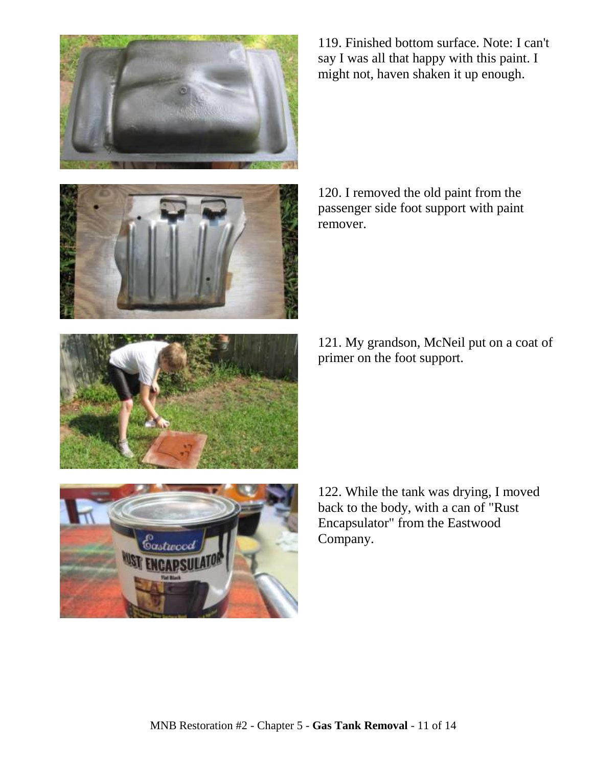



119. Finished bottom surface. Note: I can't say I was all that happy with this paint. I might not, haven shaken it up enough.

120. I removed the old paint from the passenger side foot support with paint remover.

121. My grandson, McNeil put on a coat of primer on the foot support.



122. While the tank was drying, I moved back to the body, with a can of "Rust Encapsulator" from the Eastwood Company.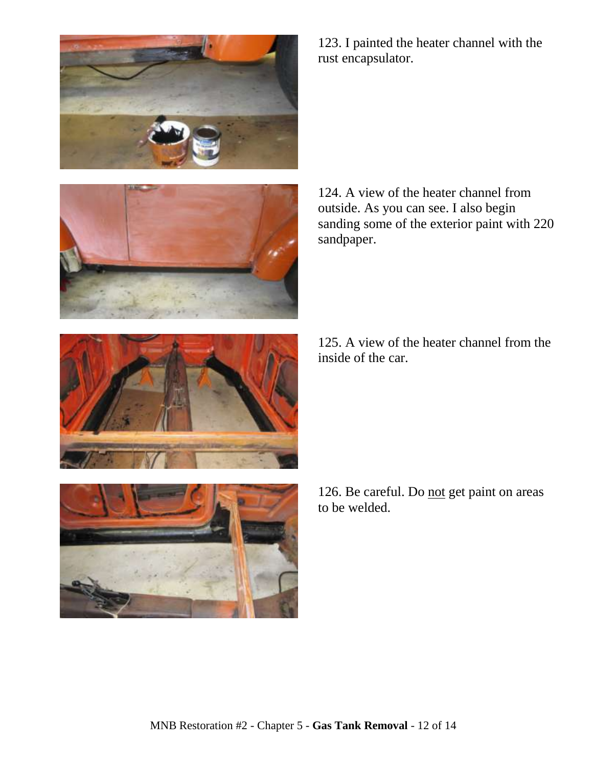



123. I painted the heater channel with the rust encapsulator.

124. A view of the heater channel from outside. As you can see. I also begin sanding some of the exterior paint with 220 sandpaper.

125. A view of the heater channel from the inside of the car.



126. Be careful. Do not get paint on areas to be welded.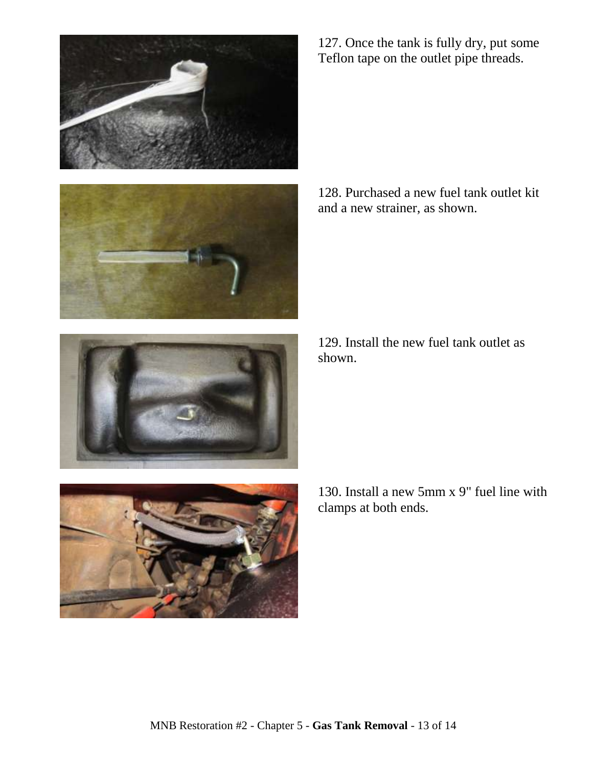



127. Once the tank is fully dry, put some Teflon tape on the outlet pipe threads.

128. Purchased a new fuel tank outlet kit and a new strainer, as shown.

129. Install the new fuel tank outlet as shown.



130. Install a new 5mm x 9" fuel line with clamps at both ends.